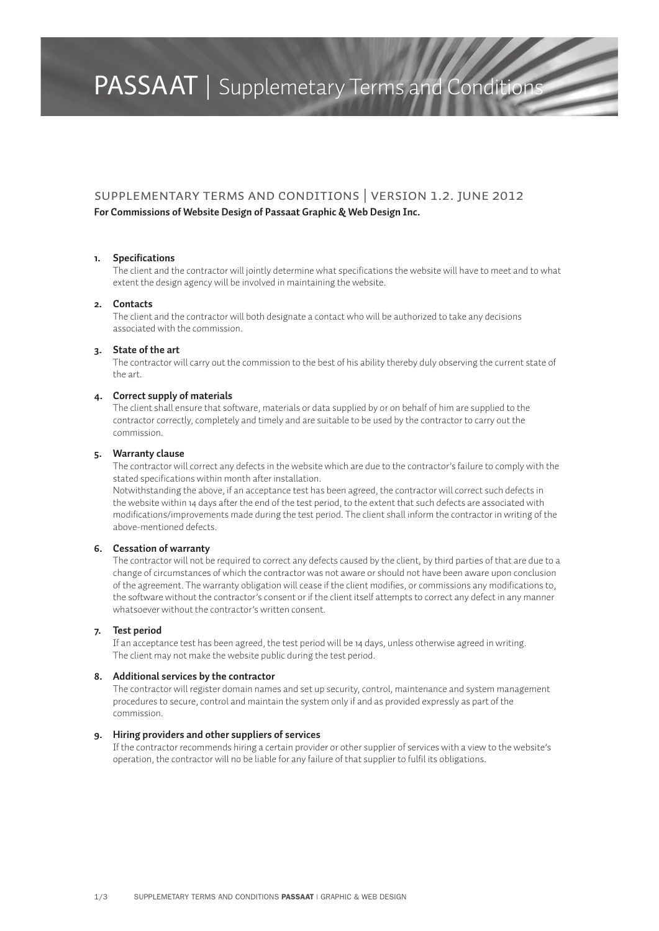### PASSAAT | Supplemetary Terms and Conditions

#### Supplementary Terms and Conditions | Version 1.2. June 2012

#### **For Commissions of Website Design of Passaat Graphic & Web Design Inc.**

#### **1. Specifications**

The client and the contractor will jointly determine what specifications the website will have to meet and to what extent the design agency will be involved in maintaining the website.

#### **2. Contacts**

The client and the contractor will both designate a contact who will be authorized to take any decisions associated with the commission.

#### **3. State of the art**

The contractor will carry out the commission to the best of his ability thereby duly observing the current state of the art.

#### **4. Correct supply of materials**

The client shall ensure that software, materials or data supplied by or on behalf of him are supplied to the contractor correctly, completely and timely and are suitable to be used by the contractor to carry out the commission.

#### **5. Warranty clause**

The contractor will correct any defects in the website which are due to the contractor's failure to comply with the stated specifications within month after installation.

Notwithstanding the above, if an acceptance test has been agreed, the contractor will correct such defects in the website within 14 days after the end of the test period, to the extent that such defects are associated with modifications/improvements made during the test period. The client shall inform the contractor in writing of the above-mentioned defects.

#### **6. Cessation of warranty**

The contractor will not be required to correct any defects caused by the client, by third parties of that are due to a change of circumstances of which the contractor was not aware or should not have been aware upon conclusion of the agreement. The warranty obligation will cease if the client modifies, or commissions any modifications to, the software without the contractor's consent or if the client itself attempts to correct any defect in any manner whatsoever without the contractor's written consent.

#### **7. Test period**

If an acceptance test has been agreed, the test period will be 14 days, unless otherwise agreed in writing. The client may not make the website public during the test period.

#### **8. Additional services by the contractor**

The contractor will register domain names and set up security, control, maintenance and system management procedures to secure, control and maintain the system only if and as provided expressly as part of the commission.

#### **9. Hiring providers and other suppliers of services**

If the contractor recommends hiring a certain provider or other supplier of services with a view to the website's operation, the contractor will no be liable for any failure of that supplier to fulfil its obligations.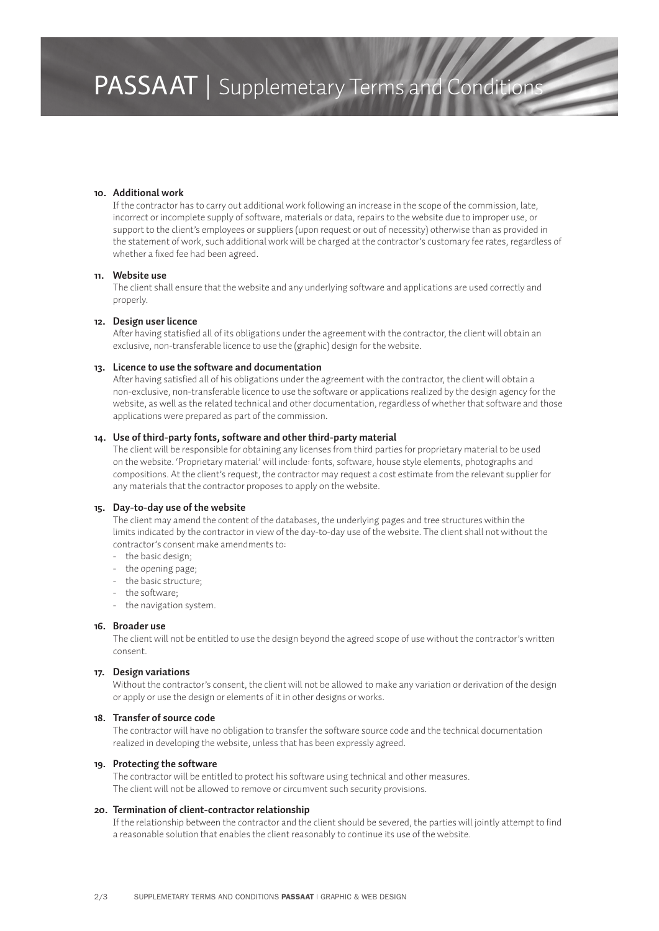## PASSAAT | Supplemetary Terms and Conditions

#### **10. Additional work**

If the contractor has to carry out additional work following an increase in the scope of the commission, late, incorrect or incomplete supply of software, materials or data, repairs to the website due to improper use, or support to the client's employees or suppliers (upon request or out of necessity) otherwise than as provided in the statement of work, such additional work will be charged at the contractor's customary fee rates, regardless of whether a fixed fee had been agreed.

#### **11. Website use**

The client shall ensure that the website and any underlying software and applications are used correctly and properly.

#### **12. Design user licence**

After having statisfied all of its obligations under the agreement with the contractor, the client will obtain an exclusive, non-transferable licence to use the (graphic) design for the website.

#### **13. Licence to use the software and documentation**

After having satisfied all of his obligations under the agreement with the contractor, the client will obtain a non-exclusive, non-transferable licence to use the software or applications realized by the design agency for the website, as well as the related technical and other documentation, regardless of whether that software and those applications were prepared as part of the commission.

#### **14. Use of third-party fonts, software and other third-party material**

The client will be responsible for obtaining any licenses from third parties for proprietary material to be used on the website. 'Proprietary material' will include: fonts, software, house style elements, photographs and compositions. At the client's request, the contractor may request a cost estimate from the relevant supplier for any materials that the contractor proposes to apply on the website.

#### **15. Day-to-day use of the website**

The client may amend the content of the databases, the underlying pages and tree structures within the limits indicated by the contractor in view of the day-to-day use of the website. The client shall not without the contractor's consent make amendments to:

- the basic design;
- the opening page;
- the basic structure;
- the software;
- the navigation system.

#### **16. Broader use**

The client will not be entitled to use the design beyond the agreed scope of use without the contractor's written consent.

#### **17. Design variations**

Without the contractor's consent, the client will not be allowed to make any variation or derivation of the design or apply or use the design or elements of it in other designs or works.

#### **18. Transfer of source code**

The contractor will have no obligation to transfer the software source code and the technical documentation realized in developing the website, unless that has been expressly agreed.

#### **19. Protecting the software**

The contractor will be entitled to protect his software using technical and other measures. The client will not be allowed to remove or circumvent such security provisions.

#### **20. Termination of client-contractor relationship**

If the relationship between the contractor and the client should be severed, the parties will jointly attempt to find a reasonable solution that enables the client reasonably to continue its use of the website.